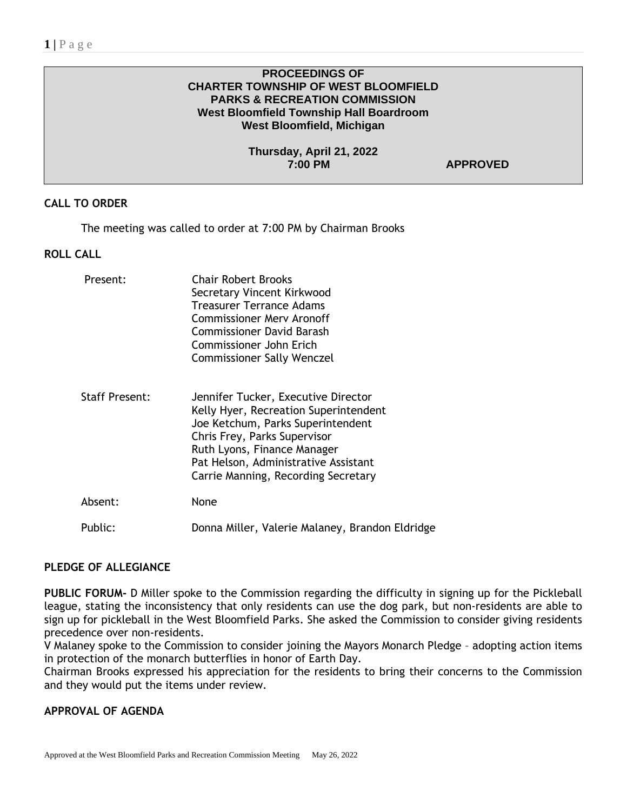### **PROCEEDINGS OF CHARTER TOWNSHIP OF WEST BLOOMFIELD PARKS & RECREATION COMMISSION West Bloomfield Township Hall Boardroom West Bloomfield, Michigan**

**Thursday, April 21, 2022**

 $APPROVED$ 

## **CALL TO ORDER**

The meeting was called to order at 7:00 PM by Chairman Brooks

### **ROLL CALL**

| Present:              | <b>Chair Robert Brooks</b><br>Secretary Vincent Kirkwood<br><b>Treasurer Terrance Adams</b><br>Commissioner Mery Aronoff<br><b>Commissioner David Barash</b><br>Commissioner John Erich<br><b>Commissioner Sally Wenczel</b>                                    |
|-----------------------|-----------------------------------------------------------------------------------------------------------------------------------------------------------------------------------------------------------------------------------------------------------------|
| <b>Staff Present:</b> | Jennifer Tucker, Executive Director<br>Kelly Hyer, Recreation Superintendent<br>Joe Ketchum, Parks Superintendent<br>Chris Frey, Parks Supervisor<br>Ruth Lyons, Finance Manager<br>Pat Helson, Administrative Assistant<br>Carrie Manning, Recording Secretary |
| Absent:               | None                                                                                                                                                                                                                                                            |
| Public:               | Donna Miller, Valerie Malaney, Brandon Eldridge                                                                                                                                                                                                                 |

### **PLEDGE OF ALLEGIANCE**

**PUBLIC FORUM-** D Miller spoke to the Commission regarding the difficulty in signing up for the Pickleball league, stating the inconsistency that only residents can use the dog park, but non-residents are able to sign up for pickleball in the West Bloomfield Parks. She asked the Commission to consider giving residents precedence over non-residents.

V Malaney spoke to the Commission to consider joining the Mayors Monarch Pledge – adopting action items in protection of the monarch butterflies in honor of Earth Day.

Chairman Brooks expressed his appreciation for the residents to bring their concerns to the Commission and they would put the items under review.

# **APPROVAL OF AGENDA**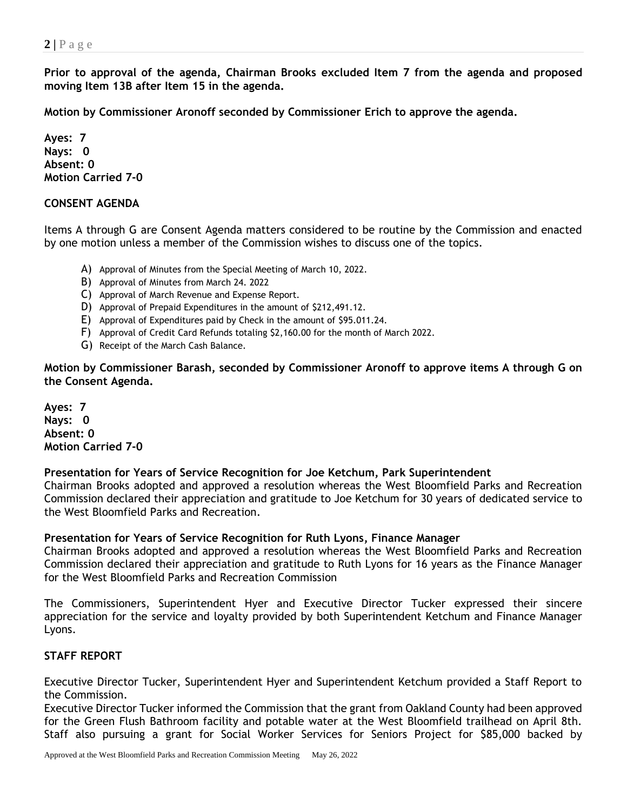**Prior to approval of the agenda, Chairman Brooks excluded Item 7 from the agenda and proposed moving Item 13B after Item 15 in the agenda.**

**Motion by Commissioner Aronoff seconded by Commissioner Erich to approve the agenda.** 

**Ayes: 7 Nays: 0 Absent: 0 Motion Carried 7-0**

### **CONSENT AGENDA**

Items A through G are Consent Agenda matters considered to be routine by the Commission and enacted by one motion unless a member of the Commission wishes to discuss one of the topics.

- A) Approval of Minutes from the Special Meeting of March 10, 2022.
- B) Approval of Minutes from March 24. 2022
- C) Approval of March Revenue and Expense Report.
- D) Approval of Prepaid Expenditures in the amount of \$212,491.12.
- E) Approval of Expenditures paid by Check in the amount of \$95.011.24.
- F) Approval of Credit Card Refunds totaling \$2,160.00 for the month of March 2022.
- G) Receipt of the March Cash Balance.

**Motion by Commissioner Barash, seconded by Commissioner Aronoff to approve items A through G on the Consent Agenda.**

**Ayes: 7 Nays: 0 Absent: 0 Motion Carried 7-0**

**Presentation for Years of Service Recognition for Joe Ketchum, Park Superintendent**

Chairman Brooks adopted and approved a resolution whereas the West Bloomfield Parks and Recreation Commission declared their appreciation and gratitude to Joe Ketchum for 30 years of dedicated service to the West Bloomfield Parks and Recreation.

### **Presentation for Years of Service Recognition for Ruth Lyons, Finance Manager**

Chairman Brooks adopted and approved a resolution whereas the West Bloomfield Parks and Recreation Commission declared their appreciation and gratitude to Ruth Lyons for 16 years as the Finance Manager for the West Bloomfield Parks and Recreation Commission

The Commissioners, Superintendent Hyer and Executive Director Tucker expressed their sincere appreciation for the service and loyalty provided by both Superintendent Ketchum and Finance Manager Lyons.

### **STAFF REPORT**

Executive Director Tucker, Superintendent Hyer and Superintendent Ketchum provided a Staff Report to the Commission.

Executive Director Tucker informed the Commission that the grant from Oakland County had been approved for the Green Flush Bathroom facility and potable water at the West Bloomfield trailhead on April 8th. Staff also pursuing a grant for Social Worker Services for Seniors Project for \$85,000 backed by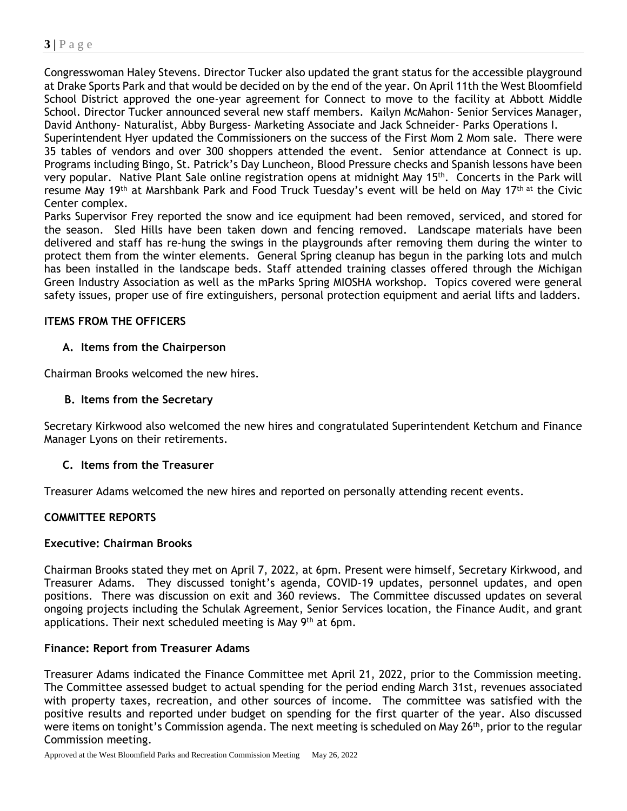Congresswoman Haley Stevens. Director Tucker also updated the grant status for the accessible playground at Drake Sports Park and that would be decided on by the end of the year. On April 11th the West Bloomfield School District approved the one-year agreement for Connect to move to the facility at Abbott Middle School. Director Tucker announced several new staff members. Kailyn McMahon- Senior Services Manager, David Anthony- Naturalist, Abby Burgess- Marketing Associate and Jack Schneider- Parks Operations I.

Superintendent Hyer updated the Commissioners on the success of the First Mom 2 Mom sale. There were 35 tables of vendors and over 300 shoppers attended the event. Senior attendance at Connect is up. Programs including Bingo, St. Patrick's Day Luncheon, Blood Pressure checks and Spanish lessons have been very popular. Native Plant Sale online registration opens at midnight May 15<sup>th</sup>. Concerts in the Park will resume May 19<sup>th</sup> at Marshbank Park and Food Truck Tuesday's event will be held on May 17<sup>th at</sup> the Civic Center complex.

Parks Supervisor Frey reported the snow and ice equipment had been removed, serviced, and stored for the season. Sled Hills have been taken down and fencing removed. Landscape materials have been delivered and staff has re-hung the swings in the playgrounds after removing them during the winter to protect them from the winter elements. General Spring cleanup has begun in the parking lots and mulch has been installed in the landscape beds. Staff attended training classes offered through the Michigan Green Industry Association as well as the mParks Spring MIOSHA workshop. Topics covered were general safety issues, proper use of fire extinguishers, personal protection equipment and aerial lifts and ladders.

## **ITEMS FROM THE OFFICERS**

## **A. Items from the Chairperson**

Chairman Brooks welcomed the new hires.

## **B. Items from the Secretary**

Secretary Kirkwood also welcomed the new hires and congratulated Superintendent Ketchum and Finance Manager Lyons on their retirements.

## **C. Items from the Treasurer**

Treasurer Adams welcomed the new hires and reported on personally attending recent events.

## **COMMITTEE REPORTS**

## **Executive: Chairman Brooks**

Chairman Brooks stated they met on April 7, 2022, at 6pm. Present were himself, Secretary Kirkwood, and Treasurer Adams. They discussed tonight's agenda, COVID-19 updates, personnel updates, and open positions. There was discussion on exit and 360 reviews. The Committee discussed updates on several ongoing projects including the Schulak Agreement, Senior Services location, the Finance Audit, and grant applications. Their next scheduled meeting is May 9<sup>th</sup> at 6pm.

## **Finance: Report from Treasurer Adams**

Treasurer Adams indicated the Finance Committee met April 21, 2022, prior to the Commission meeting. The Committee assessed budget to actual spending for the period ending March 31st, revenues associated with property taxes, recreation, and other sources of income. The committee was satisfied with the positive results and reported under budget on spending for the first quarter of the year. Also discussed were items on tonight's Commission agenda. The next meeting is scheduled on May 26<sup>th</sup>, prior to the regular Commission meeting.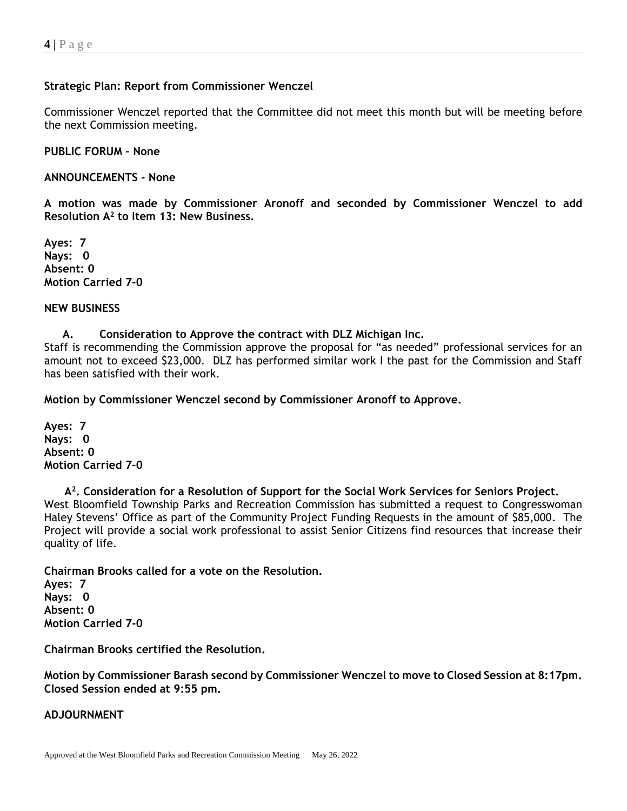## **Strategic Plan: Report from Commissioner Wenczel**

Commissioner Wenczel reported that the Committee did not meet this month but will be meeting before the next Commission meeting.

**PUBLIC FORUM – None**

**ANNOUNCEMENTS - None**

**A motion was made by Commissioner Aronoff and seconded by Commissioner Wenczel to add Resolution A<sup>2</sup> to Item 13: New Business.**

**Ayes: 7 Nays: 0 Absent: 0 Motion Carried 7-0**

#### **NEW BUSINESS**

**A. Consideration to Approve the contract with DLZ Michigan Inc.**

Staff is recommending the Commission approve the proposal for "as needed" professional services for an amount not to exceed \$23,000. DLZ has performed similar work I the past for the Commission and Staff has been satisfied with their work.

**Motion by Commissioner Wenczel second by Commissioner Aronoff to Approve.**

**Ayes: 7 Nays: 0 Absent: 0 Motion Carried 7-0**

 **A 2 . Consideration for a Resolution of Support for the Social Work Services for Seniors Project.** West Bloomfield Township Parks and Recreation Commission has submitted a request to Congresswoman Haley Stevens' Office as part of the Community Project Funding Requests in the amount of \$85,000. The Project will provide a social work professional to assist Senior Citizens find resources that increase their quality of life.

**Chairman Brooks called for a vote on the Resolution. Ayes: 7 Nays: 0 Absent: 0 Motion Carried 7-0**

**Chairman Brooks certified the Resolution.**

**Motion by Commissioner Barash second by Commissioner Wenczel to move to Closed Session at 8:17pm. Closed Session ended at 9:55 pm.**

## **ADJOURNMENT**